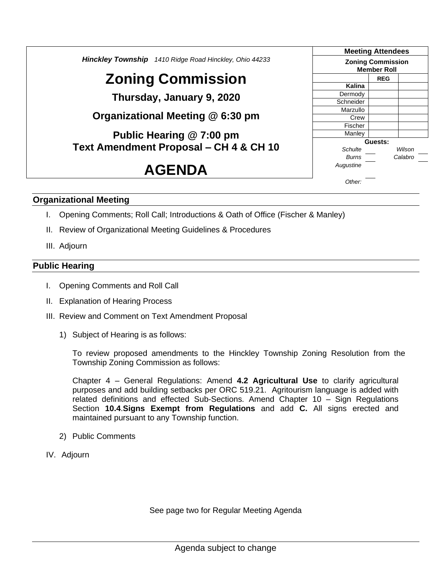*Hinckley Township 1410 Ridge Road Hinckley, Ohio 44233* **Zoning Commission Thursday, January 9, 2020 Organizational Meeting @ 6:30 pm Public Hearing @ 7:00 pm Text Amendment Proposal – CH 4 & CH 10 AGENDA Meeting Attendees Zoning Commission Member Roll REG Kalina** Dermody Schneider Marzullo Crew Fischer **Manley Guests:** *Schulte Wilson Burns Calabro Augustine Other:*

#### **Organizational Meeting**

- I. Opening Comments; Roll Call; Introductions & Oath of Office (Fischer & Manley)
- II. Review of Organizational Meeting Guidelines & Procedures
- III. Adjourn

#### **Public Hearing**

- I. Opening Comments and Roll Call
- II. Explanation of Hearing Process
- III. Review and Comment on Text Amendment Proposal
	- 1) Subject of Hearing is as follows:

To review proposed amendments to the Hinckley Township Zoning Resolution from the Township Zoning Commission as follows:

Chapter 4 – General Regulations: Amend **4.2 Agricultural Use** to clarify agricultural purposes and add building setbacks per ORC 519.21. Agritourism language is added with related definitions and effected Sub-Sections. Amend Chapter 10 – Sign Regulations Section **10.4**.**Signs Exempt from Regulations** and add **C.** All signs erected and maintained pursuant to any Township function.

- 2) Public Comments
- IV. Adjourn

See page two for Regular Meeting Agenda